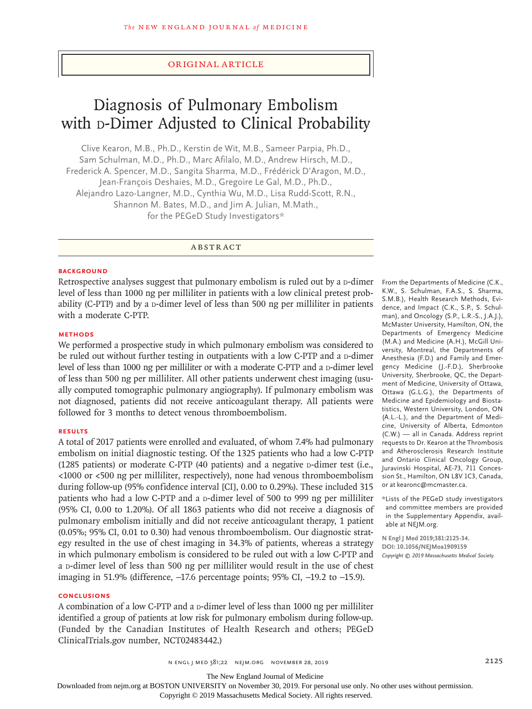#### Original Article

# Diagnosis of Pulmonary Embolism with p-Dimer Adjusted to Clinical Probability

Clive Kearon, M.B., Ph.D., Kerstin de Wit, M.B., Sameer Parpia, Ph.D., Sam Schulman, M.D., Ph.D., Marc Afilalo, M.D., Andrew Hirsch, M.D., Frederick A. Spencer, M.D., Sangita Sharma, M.D., Frédérick D'Aragon, M.D., Jean-François Deshaies, M.D., Gregoire Le Gal, M.D., Ph.D., Alejandro Lazo-Langner, M.D., Cynthia Wu, M.D., Lisa Rudd-Scott, R.N., Shannon M. Bates, M.D., and Jim A. Julian, M.Math., for the PEGeD Study Investigators\*

ABSTRACT

#### **BACKGROUND**

Retrospective analyses suggest that pulmonary embolism is ruled out by a  $D$ -dimer level of less than 1000 ng per milliliter in patients with a low clinical pretest probability (C-PTP) and by a  $D$ -dimer level of less than 500 ng per milliliter in patients with a moderate C-PTP.

## **METHODS**

We performed a prospective study in which pulmonary embolism was considered to be ruled out without further testing in outpatients with a low C-PTP and a  $\alpha$ -dimer level of less than 1000 ng per milliliter or with a moderate C-PTP and a D-dimer level of less than 500 ng per milliliter. All other patients underwent chest imaging (usually computed tomographic pulmonary angiography). If pulmonary embolism was not diagnosed, patients did not receive anticoagulant therapy. All patients were followed for 3 months to detect venous thromboembolism.

#### **RESULTS**

A total of 2017 patients were enrolled and evaluated, of whom 7.4% had pulmonary embolism on initial diagnostic testing. Of the 1325 patients who had a low C-PTP  $(1285 \text{ patients})$  or moderate C-PTP  $(40 \text{ patients})$  and a negative p-dimer test (i.e., <1000 or <500 ng per milliliter, respectively), none had venous thromboembolism during follow-up (95% confidence interval [CI], 0.00 to 0.29%). These included 315 patients who had a low C-PTP and a p-dimer level of 500 to 999 ng per milliliter (95% CI, 0.00 to 1.20%). Of all 1863 patients who did not receive a diagnosis of pulmonary embolism initially and did not receive anticoagulant therapy, 1 patient (0.05%; 95% CI, 0.01 to 0.30) had venous thromboembolism. Our diagnostic strategy resulted in the use of chest imaging in 34.3% of patients, whereas a strategy in which pulmonary embolism is considered to be ruled out with a low C-PTP and a D-dimer level of less than 500 ng per milliliter would result in the use of chest imaging in 51.9% (difference, −17.6 percentage points; 95% CI, −19.2 to −15.9).

# **CONCLUSIONS**

A combination of a low C-PTP and a  $\nu$ -dimer level of less than 1000 ng per milliliter identified a group of patients at low risk for pulmonary embolism during follow-up. (Funded by the Canadian Institutes of Health Research and others; PEGeD ClinicalTrials.gov number, NCT02483442.)

From the Departments of Medicine (C.K., K.W., S. Schulman, F.A.S., S. Sharma, S.M.B.), Health Research Methods, Evidence, and Impact (C.K., S.P., S. Schulman), and Oncology (S.P., L.R.-S., J.A.J.), McMaster University, Hamilton, ON, the Departments of Emergency Medicine (M.A.) and Medicine (A.H.), McGill University, Montreal, the Departments of Anesthesia (F.D.) and Family and Emergency Medicine (J.-F.D.), Sherbrooke University, Sherbrooke, QC, the Department of Medicine, University of Ottawa, Ottawa (G.L.G.), the Departments of Medicine and Epidemiology and Biostatistics, Western University, London, ON (A.L.-L.), and the Department of Medicine, University of Alberta, Edmonton (C.W.) — all in Canada. Address reprint requests to Dr. Kearon at the Thrombosis and Atherosclerosis Research Institute and Ontario Clinical Oncology Group, Juravinski Hospital, AE-73, 711 Concession St., Hamilton, ON L8V 1C3, Canada, or at kearonc@mcmaster.ca.

\*Lists of the PEGeD study investigators and committee members are provided in the Supplementary Appendix, available at NEJM.org.

**N Engl J Med 2019;381:2125-34. DOI: 10.1056/NEJMoa1909159** *Copyright © 2019 Massachusetts Medical Society.*

n engl j med 381;22 nejm.org November 28, 2019 2125

The New England Journal of Medicine

Downloaded from nejm.org at BOSTON UNIVERSITY on November 30, 2019. For personal use only. No other uses without permission.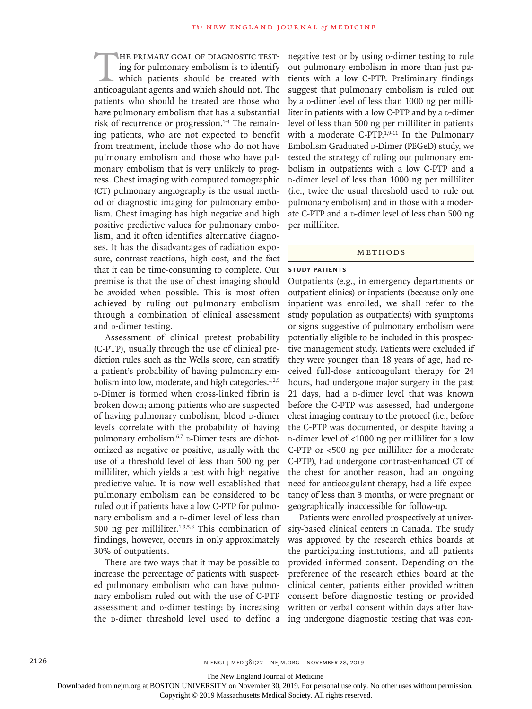HE PRIMARY GOAL OF DIAGNOSTIC TEST-<br>ing for pulmonary embolism is to identify<br>which patients should be treated with<br>anticoagulant agents and which should not. The ing for pulmonary embolism is to identify which patients should be treated with anticoagulant agents and which should not. The patients who should be treated are those who have pulmonary embolism that has a substantial risk of recurrence or progression.<sup>1-4</sup> The remaining patients, who are not expected to benefit from treatment, include those who do not have pulmonary embolism and those who have pulmonary embolism that is very unlikely to progress. Chest imaging with computed tomographic (CT) pulmonary angiography is the usual method of diagnostic imaging for pulmonary embolism. Chest imaging has high negative and high positive predictive values for pulmonary embolism, and it often identifies alternative diagnoses. It has the disadvantages of radiation exposure, contrast reactions, high cost, and the fact that it can be time-consuming to complete. Our premise is that the use of chest imaging should be avoided when possible. This is most often achieved by ruling out pulmonary embolism through a combination of clinical assessment and p-dimer testing.

Assessment of clinical pretest probability (C-PTP), usually through the use of clinical prediction rules such as the Wells score, can stratify a patient's probability of having pulmonary embolism into low, moderate, and high categories. $1,2,5$ d-Dimer is formed when cross-linked fibrin is broken down; among patients who are suspected of having pulmonary embolism, blood p-dimer levels correlate with the probability of having pulmonary embolism.<sup>6,7</sup> D-Dimer tests are dichotomized as negative or positive, usually with the use of a threshold level of less than 500 ng per milliliter, which yields a test with high negative predictive value. It is now well established that pulmonary embolism can be considered to be ruled out if patients have a low C-PTP for pulmonary embolism and a p-dimer level of less than 500 ng per milliliter. $1-3,5,8$  This combination of findings, however, occurs in only approximately 30% of outpatients.

There are two ways that it may be possible to increase the percentage of patients with suspected pulmonary embolism who can have pulmonary embolism ruled out with the use of C-PTP assessment and p-dimer testing: by increasing the p-dimer threshold level used to define a negative test or by using p-dimer testing to rule out pulmonary embolism in more than just patients with a low C-PTP. Preliminary findings suggest that pulmonary embolism is ruled out by a p-dimer level of less than 1000 ng per milliliter in patients with a low C-PTP and by a p-dimer level of less than 500 ng per milliliter in patients with a moderate C-PTP.<sup>1,9-11</sup> In the Pulmonary Embolism Graduated D-Dimer (PEGeD) study, we tested the strategy of ruling out pulmonary embolism in outpatients with a low C-PTP and a d-dimer level of less than 1000 ng per milliliter (i.e., twice the usual threshold used to rule out pulmonary embolism) and in those with a moderate C-PTP and a p-dimer level of less than 500 ng per milliliter.

# Methods

#### **Study Patients**

Outpatients (e.g., in emergency departments or outpatient clinics) or inpatients (because only one inpatient was enrolled, we shall refer to the study population as outpatients) with symptoms or signs suggestive of pulmonary embolism were potentially eligible to be included in this prospective management study. Patients were excluded if they were younger than 18 years of age, had received full-dose anticoagulant therapy for 24 hours, had undergone major surgery in the past 21 days, had a p-dimer level that was known before the C-PTP was assessed, had undergone chest imaging contrary to the protocol (i.e., before the C-PTP was documented, or despite having a d-dimer level of <1000 ng per milliliter for a low C-PTP or <500 ng per milliliter for a moderate C-PTP), had undergone contrast-enhanced CT of the chest for another reason, had an ongoing need for anticoagulant therapy, had a life expectancy of less than 3 months, or were pregnant or geographically inaccessible for follow-up.

Patients were enrolled prospectively at university-based clinical centers in Canada. The study was approved by the research ethics boards at the participating institutions, and all patients provided informed consent. Depending on the preference of the research ethics board at the clinical center, patients either provided written consent before diagnostic testing or provided written or verbal consent within days after having undergone diagnostic testing that was con-

The New England Journal of Medicine

Downloaded from nejm.org at BOSTON UNIVERSITY on November 30, 2019. For personal use only. No other uses without permission.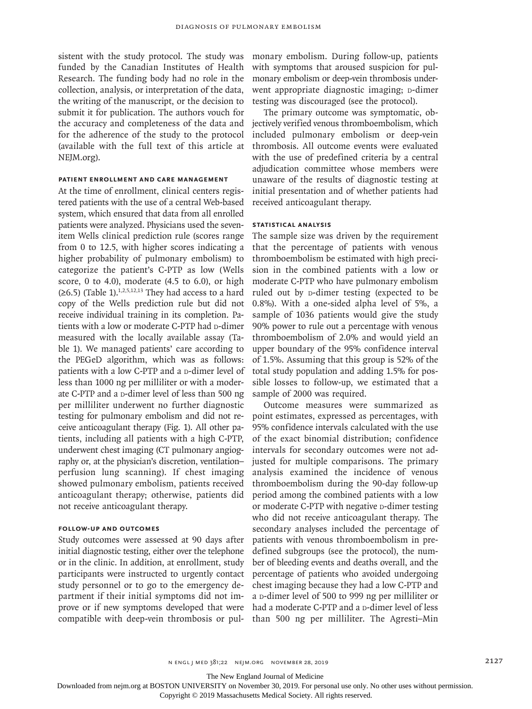sistent with the study protocol. The study was funded by the Canadian Institutes of Health Research. The funding body had no role in the collection, analysis, or interpretation of the data, the writing of the manuscript, or the decision to submit it for publication. The authors vouch for the accuracy and completeness of the data and for the adherence of the study to the protocol (available with the full text of this article at NEJM.org).

## **Patient Enrollment and Care Management**

At the time of enrollment, clinical centers registered patients with the use of a central Web-based system, which ensured that data from all enrolled patients were analyzed. Physicians used the sevenitem Wells clinical prediction rule (scores range from 0 to 12.5, with higher scores indicating a higher probability of pulmonary embolism) to categorize the patient's C-PTP as low (Wells score, 0 to 4.0), moderate (4.5 to 6.0), or high  $(\geq 6.5)$  (Table 1).<sup>1,2,5,12,13</sup> They had access to a hard copy of the Wells prediction rule but did not receive individual training in its completion. Patients with a low or moderate C-PTP had p-dimer measured with the locally available assay (Table 1). We managed patients' care according to the PEGeD algorithm, which was as follows: patients with a low C-PTP and a p-dimer level of less than 1000 ng per milliliter or with a moderate C-PTP and a p-dimer level of less than 500 ng per milliliter underwent no further diagnostic testing for pulmonary embolism and did not receive anticoagulant therapy (Fig. 1). All other patients, including all patients with a high C-PTP, underwent chest imaging (CT pulmonary angiography or, at the physician's discretion, ventilation– perfusion lung scanning). If chest imaging showed pulmonary embolism, patients received anticoagulant therapy; otherwise, patients did not receive anticoagulant therapy.

# **Follow-up and Outcomes**

Study outcomes were assessed at 90 days after initial diagnostic testing, either over the telephone or in the clinic. In addition, at enrollment, study participants were instructed to urgently contact study personnel or to go to the emergency department if their initial symptoms did not improve or if new symptoms developed that were compatible with deep-vein thrombosis or pulmonary embolism. During follow-up, patients with symptoms that aroused suspicion for pulmonary embolism or deep-vein thrombosis underwent appropriate diagnostic imaging; p-dimer testing was discouraged (see the protocol).

The primary outcome was symptomatic, objectively verified venous thromboembolism, which included pulmonary embolism or deep-vein thrombosis. All outcome events were evaluated with the use of predefined criteria by a central adjudication committee whose members were unaware of the results of diagnostic testing at initial presentation and of whether patients had received anticoagulant therapy.

#### **Statistical Analysis**

The sample size was driven by the requirement that the percentage of patients with venous thromboembolism be estimated with high precision in the combined patients with a low or moderate C-PTP who have pulmonary embolism ruled out by p-dimer testing (expected to be 0.8%). With a one-sided alpha level of 5%, a sample of 1036 patients would give the study 90% power to rule out a percentage with venous thromboembolism of 2.0% and would yield an upper boundary of the 95% confidence interval of 1.5%. Assuming that this group is 52% of the total study population and adding 1.5% for possible losses to follow-up, we estimated that a sample of 2000 was required.

Outcome measures were summarized as point estimates, expressed as percentages, with 95% confidence intervals calculated with the use of the exact binomial distribution; confidence intervals for secondary outcomes were not adjusted for multiple comparisons. The primary analysis examined the incidence of venous thromboembolism during the 90-day follow-up period among the combined patients with a low or moderate C-PTP with negative p-dimer testing who did not receive anticoagulant therapy. The secondary analyses included the percentage of patients with venous thromboembolism in predefined subgroups (see the protocol), the number of bleeding events and deaths overall, and the percentage of patients who avoided undergoing chest imaging because they had a low C-PTP and a p-dimer level of 500 to 999 ng per milliliter or had a moderate C-PTP and a p-dimer level of less than 500 ng per milliliter. The Agresti–Min

n engl j med 381;22 nejm.org November 28, 2019 2127

The New England Journal of Medicine

Downloaded from nejm.org at BOSTON UNIVERSITY on November 30, 2019. For personal use only. No other uses without permission.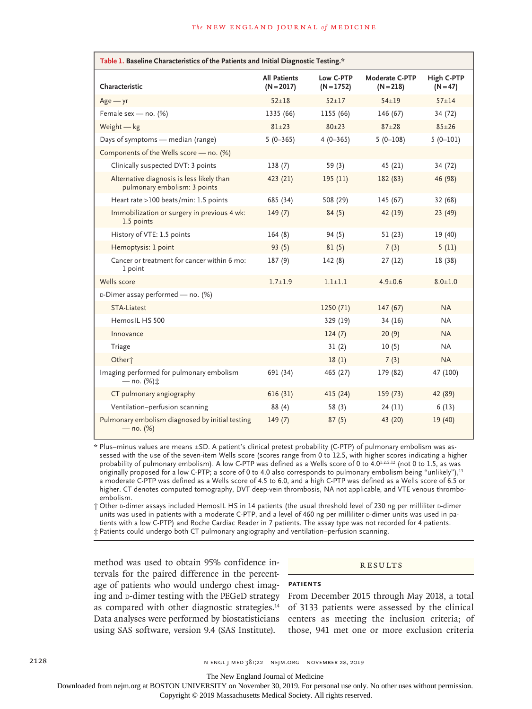| Table 1. Baseline Characteristics of the Patients and Initial Diagnostic Testing.* |                                     |                           |                               |                          |  |  |  |  |
|------------------------------------------------------------------------------------|-------------------------------------|---------------------------|-------------------------------|--------------------------|--|--|--|--|
| Characteristic                                                                     | <b>All Patients</b><br>$(N = 2017)$ | Low C-PTP<br>$(N = 1752)$ | Moderate C-PTP<br>$(N = 218)$ | High C-PTP<br>$(N = 47)$ |  |  |  |  |
| $Age - yr$                                                                         | $52 + 18$                           | $52 + 17$                 | $54 + 19$                     | $57 + 14$                |  |  |  |  |
| Female sex - no. (%)                                                               | 1335 (66)                           | 1155 (66)                 | 146 (67)                      | 34 (72)                  |  |  |  |  |
| Weight $-$ kg                                                                      | $81 + 23$                           | $80+23$                   | $87 + 28$                     | $85 + 26$                |  |  |  |  |
| Days of symptoms - median (range)                                                  | $5(0-365)$                          | $4(0-365)$                | $5(0-108)$                    | $5(0-101)$               |  |  |  |  |
| Components of the Wells score - no. (%)                                            |                                     |                           |                               |                          |  |  |  |  |
| Clinically suspected DVT: 3 points                                                 | 138(7)                              | 59 $(3)$                  | 45 (21)                       | 34 (72)                  |  |  |  |  |
| Alternative diagnosis is less likely than<br>pulmonary embolism: 3 points          | 423 (21)                            | 195(11)                   | 182 (83)                      | 46 (98)                  |  |  |  |  |
| Heart rate >100 beats/min: 1.5 points                                              | 685 (34)                            | 508 (29)                  | 145 (67)                      | 32 (68)                  |  |  |  |  |
| Immobilization or surgery in previous 4 wk:<br>1.5 points                          | 149(7)                              | 84(5)                     | 42 (19)                       | 23(49)                   |  |  |  |  |
| History of VTE: 1.5 points                                                         | 164(8)                              | 94(5)                     | 51(23)                        | 19 (40)                  |  |  |  |  |
| Hemoptysis: 1 point                                                                | 93(5)                               | 81(5)                     | 7(3)                          | 5(11)                    |  |  |  |  |
| Cancer or treatment for cancer within 6 mo:<br>1 point                             | 187(9)                              | 142(8)                    | 27(12)                        | 18 (38)                  |  |  |  |  |
| Wells score                                                                        | $1.7 + 1.9$                         | $1.1 + 1.1$               | $4.9 + 0.6$                   | $8.0 + 1.0$              |  |  |  |  |
| D-Dimer assay performed - no. (%)                                                  |                                     |                           |                               |                          |  |  |  |  |
| <b>STA-Liatest</b>                                                                 |                                     | 1250 (71)                 | 147(67)                       | <b>NA</b>                |  |  |  |  |
| HemosIL HS 500                                                                     |                                     | 329 (19)                  | 34 (16)                       | <b>NA</b>                |  |  |  |  |
| Innovance                                                                          |                                     | 124(7)                    | 20(9)                         | <b>NA</b>                |  |  |  |  |
| Triage                                                                             |                                     | 31(2)                     | 10(5)                         | <b>NA</b>                |  |  |  |  |
| Other <sup>+</sup>                                                                 |                                     | 18(1)                     | 7(3)                          | <b>NA</b>                |  |  |  |  |
| Imaging performed for pulmonary embolism<br>— no. (%)‡                             | 691 (34)                            | 465 (27)                  | 179 (82)                      | 47 (100)                 |  |  |  |  |
| CT pulmonary angiography                                                           | 616(31)                             | 415 (24)                  | 159 (73)                      | 42 (89)                  |  |  |  |  |
| Ventilation-perfusion scanning                                                     | 88 (4)                              | 58(3)                     | 24(11)                        | 6(13)                    |  |  |  |  |
| Pulmonary embolism diagnosed by initial testing<br>$-$ no. (%)                     | 149(7)                              | 87(5)                     | 43 (20)                       | 19 (40)                  |  |  |  |  |

\* Plus–minus values are means ±SD. A patient's clinical pretest probability (C-PTP) of pulmonary embolism was assessed with the use of the seven-item Wells score (scores range from 0 to 12.5, with higher scores indicating a higher probability of pulmonary embolism). A low C-PTP was defined as a Wells score of 0 to 4.0<sup>1,2,5,12</sup> (not 0 to 1.5, as was originally proposed for a low C-PTP; a score of 0 to 4.0 also corresponds to pulmonary embolism being "unlikely"),<sup>13</sup> a moderate C-PTP was defined as a Wells score of 4.5 to 6.0, and a high C-PTP was defined as a Wells score of 6.5 or higher. CT denotes computed tomography, DVT deep-vein thrombosis, NA not applicable, and VTE venous thromboembolism.

 $\dagger$  Other p-dimer assays included HemosIL HS in 14 patients (the usual threshold level of 230 ng per milliliter p-dimer units was used in patients with a moderate C-PTP, and a level of 460 ng per milliliter p-dimer units was used in patients with a low C-PTP) and Roche Cardiac Reader in 7 patients. The assay type was not recorded for 4 patients. ‡ Patients could undergo both CT pulmonary angiography and ventilation–perfusion scanning.

method was used to obtain 95% confidence intervals for the paired difference in the percentage of patients who would undergo chest imaging and **p-dimer testing with the PEGeD strategy** as compared with other diagnostic strategies.14 Data analyses were performed by biostatisticians using SAS software, version 9.4 (SAS Institute).

#### **RESULTS**

## **Patients**

From December 2015 through May 2018, a total of 3133 patients were assessed by the clinical centers as meeting the inclusion criteria; of those, 941 met one or more exclusion criteria

2128 **n engl j med 381;22 nejm.org November 28, 2019** n engl j med 381;22 nejm.org November 28, 2019

The New England Journal of Medicine

Downloaded from nejm.org at BOSTON UNIVERSITY on November 30, 2019. For personal use only. No other uses without permission.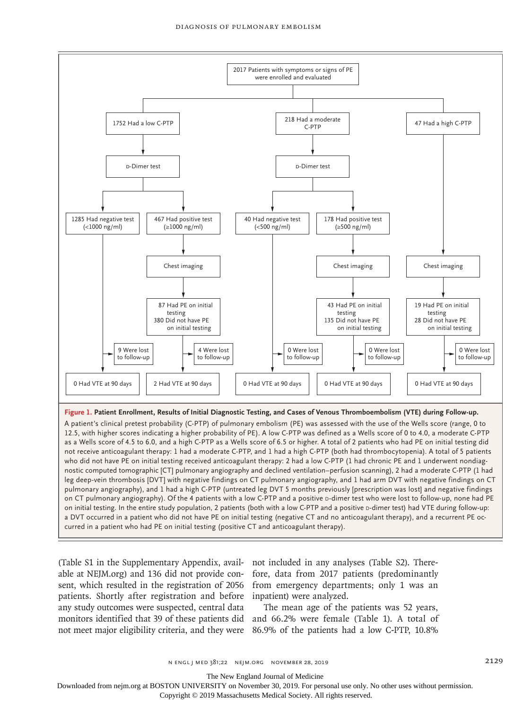

leg deep-vein thrombosis [DVT] with negative findings on CT pulmonary angiography, and 1 had arm DVT with negative findings on CT pulmonary angiography), and 1 had a high C-PTP (untreated leg DVT 5 months previously [prescription was lost] and negative findings on CT pulmonary angiography). Of the 4 patients with a low C-PTP and a positive p-dimer test who were lost to follow-up, none had PE on initial testing. In the entire study population, 2 patients (both with a low C-PTP and a positive p-dimer test) had VTE during follow-up: a DVT occurred in a patient who did not have PE on initial testing (negative CT and no anticoagulant therapy), and a recurrent PE occurred in a patient who had PE on initial testing (positive CT and anticoagulant therapy).

able at NEJM.org) and 136 did not provide con-fore, data from 2017 patients (predominantly sent, which resulted in the registration of 2056 from emergency departments; only 1 was an patients. Shortly after registration and before inpatient) were analyzed. any study outcomes were suspected, central data monitors identified that 39 of these patients did and 66.2% were female (Table 1). A total of not meet major eligibility criteria, and they were 86.9% of the patients had a low C-PTP, 10.8%

(Table S1 in the Supplementary Appendix, avail-not included in any analyses (Table S2). There-

The mean age of the patients was 52 years,

n engl j med 381;22 nejm.org November 28, 2019 2129

The New England Journal of Medicine

Downloaded from nejm.org at BOSTON UNIVERSITY on November 30, 2019. For personal use only. No other uses without permission.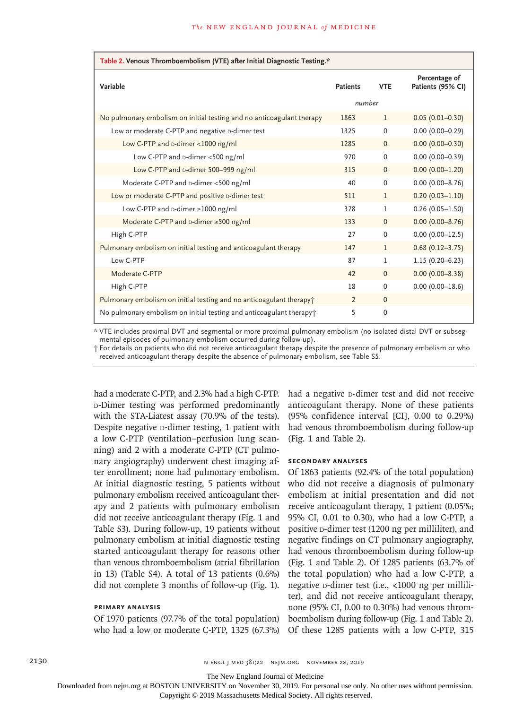| Table 2. Venous Thromboembolism (VTE) after Initial Diagnostic Testing.* |                 |              |                                    |  |  |  |
|--------------------------------------------------------------------------|-----------------|--------------|------------------------------------|--|--|--|
| Variable                                                                 | <b>Patients</b> | <b>VTE</b>   | Percentage of<br>Patients (95% CI) |  |  |  |
|                                                                          | number          |              |                                    |  |  |  |
| No pulmonary embolism on initial testing and no anticoagulant therapy    | 1863            | 1            | $0.05(0.01 - 0.30)$                |  |  |  |
| Low or moderate C-PTP and negative D-dimer test                          | 1325            | $\Omega$     | $0.00$ (0.00-0.29)                 |  |  |  |
| Low C-PTP and p-dimer <1000 ng/ml                                        | 1285            | $\mathbf{0}$ | $0.00$ $(0.00 - 0.30)$             |  |  |  |
| Low C-PTP and p-dimer <500 ng/ml                                         | 970             | $\Omega$     | $0.00$ (0.00-0.39)                 |  |  |  |
| Low C-PTP and D-dimer 500-999 ng/ml                                      | 315             | $\Omega$     | $0.00(0.00 - 1.20)$                |  |  |  |
| Moderate C-PTP and D-dimer <500 ng/ml                                    | 40              | $\Omega$     | $0.00$ (0.00-8.76)                 |  |  |  |
| Low or moderate C-PTP and positive D-dimer test                          | 511             | $\mathbf{1}$ | $0.20(0.03 - 1.10)$                |  |  |  |
| Low C-PTP and $\text{D-dimer} \geq 1000$ ng/ml                           | 378             | L            | $0.26(0.05 - 1.50)$                |  |  |  |
| Moderate C-PTP and D-dimer ≥500 ng/ml                                    | 133             | $\Omega$     | $0.00$ $(0.00 - 8.76)$             |  |  |  |
| High C-PTP                                                               | 27              | $\Omega$     | $0.00(0.00 - 12.5)$                |  |  |  |
| Pulmonary embolism on initial testing and anticoagulant therapy          | 147             | 1            | $0.68(0.12 - 3.75)$                |  |  |  |
| Low C-PTP                                                                | 87              | $\mathbf{1}$ | $1.15(0.20 - 6.23)$                |  |  |  |
| Moderate C-PTP                                                           | 42              | $\mathbf{0}$ | $0.00(0.00 - 8.38)$                |  |  |  |
| High C-PTP                                                               | 18              | $\Omega$     | $0.00$ (0.00-18.6)                 |  |  |  |
| Pulmonary embolism on initial testing and no anticoagulant therapy +     | $\overline{2}$  | $\Omega$     |                                    |  |  |  |
| No pulmonary embolism on initial testing and anticoagulant therapy       | 5               | $\mathbf 0$  |                                    |  |  |  |

\* VTE includes proximal DVT and segmental or more proximal pulmonary embolism (no isolated distal DVT or subsegmental episodes of pulmonary embolism occurred during follow-up).

† For details on patients who did not receive anticoagulant therapy despite the presence of pulmonary embolism or who received anticoagulant therapy despite the absence of pulmonary embolism, see Table S5.

had a moderate C-PTP, and 2.3% had a high C-PTP. d-Dimer testing was performed predominantly with the STA-Liatest assay (70.9% of the tests). Despite negative **D-dimer** testing, 1 patient with a low C-PTP (ventilation–perfusion lung scanning) and 2 with a moderate C-PTP (CT pulmonary angiography) underwent chest imaging after enrollment; none had pulmonary embolism. At initial diagnostic testing, 5 patients without pulmonary embolism received anticoagulant therapy and 2 patients with pulmonary embolism did not receive anticoagulant therapy (Fig. 1 and Table S3). During follow-up, 19 patients without pulmonary embolism at initial diagnostic testing started anticoagulant therapy for reasons other than venous thromboembolism (atrial fibrillation in 13) (Table S4). A total of 13 patients (0.6%) did not complete 3 months of follow-up (Fig. 1).

#### **Primary Analysis**

Of 1970 patients (97.7% of the total population) who had a low or moderate C-PTP, 1325 (67.3%) had a negative **D-dimer** test and did not receive anticoagulant therapy. None of these patients (95% confidence interval [CI], 0.00 to 0.29%) had venous thromboembolism during follow-up (Fig. 1 and Table 2).

#### **Secondary Analyses**

Of 1863 patients (92.4% of the total population) who did not receive a diagnosis of pulmonary embolism at initial presentation and did not receive anticoagulant therapy, 1 patient (0.05%; 95% CI, 0.01 to 0.30), who had a low C-PTP, a positive p-dimer test (1200 ng per milliliter), and negative findings on CT pulmonary angiography, had venous thromboembolism during follow-up (Fig. 1 and Table 2). Of 1285 patients (63.7% of the total population) who had a low C-PTP, a negative p-dimer test (i.e., <1000 ng per milliliter), and did not receive anticoagulant therapy, none (95% CI, 0.00 to 0.30%) had venous thromboembolism during follow-up (Fig. 1 and Table 2). Of these 1285 patients with a low C-PTP, 315

2130 **n ENGL J MED 381;22 NEIM.ORG NOVEMBER 28, 2019** 

The New England Journal of Medicine

Downloaded from nejm.org at BOSTON UNIVERSITY on November 30, 2019. For personal use only. No other uses without permission.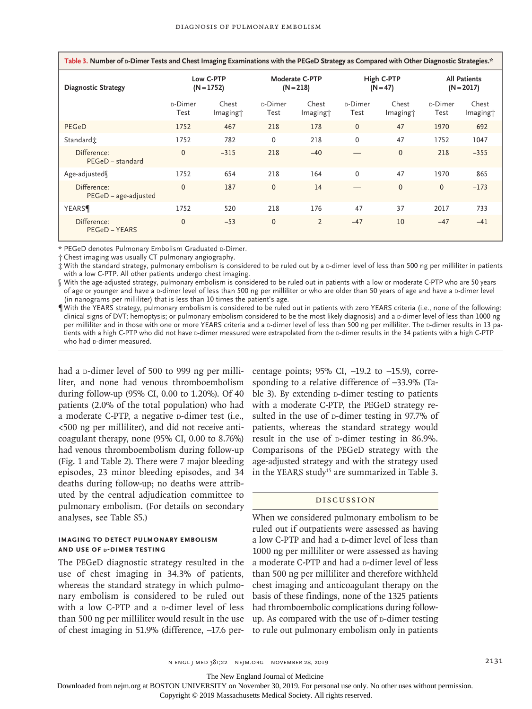| Table 3. Number of p-Dimer Tests and Chest Imaging Examinations with the PEGeD Strategy as Compared with Other Diagnostic Strategies.* |                           |                               |                               |                               |                          |                               |                                     |                               |  |
|----------------------------------------------------------------------------------------------------------------------------------------|---------------------------|-------------------------------|-------------------------------|-------------------------------|--------------------------|-------------------------------|-------------------------------------|-------------------------------|--|
| <b>Diagnostic Strategy</b>                                                                                                             | Low C-PTP<br>$(N = 1752)$ |                               | Moderate C-PTP<br>$(N = 218)$ |                               | High C-PTP<br>$(N = 47)$ |                               | <b>All Patients</b><br>$(N = 2017)$ |                               |  |
|                                                                                                                                        | D-Dimer<br>Test           | Chest<br>Imaging <sup>+</sup> | D-Dimer<br>Test               | Chest<br>Imaging <sup>+</sup> | D-Dimer<br>Test          | Chest<br>Imaging <sup>+</sup> | D-Dimer<br>Test                     | Chest<br>Imaging <sup>+</sup> |  |
| PEGeD                                                                                                                                  | 1752                      | 467                           | 218                           | 178                           | $\mathbf{0}$             | 47                            | 1970                                | 692                           |  |
| Standard <sub>i</sub>                                                                                                                  | 1752                      | 782                           | $\Omega$                      | 218                           | $\Omega$                 | 47                            | 1752                                | 1047                          |  |
| Difference:<br>PEGeD - standard                                                                                                        | $\Omega$                  | $-315$                        | 218                           | $-40$                         |                          | $\Omega$                      | 218                                 | $-355$                        |  |
| Age-adjusted                                                                                                                           | 1752                      | 654                           | 218                           | 164                           | $\Omega$                 | 47                            | 1970                                | 865                           |  |
| Difference:<br>$PEGeD - age-adjusted$                                                                                                  | $\Omega$                  | 187                           | $\mathbf{0}$                  | 14                            |                          | $\Omega$                      | $\mathbf 0$                         | $-173$                        |  |
| <b>YEARS</b>                                                                                                                           | 1752                      | 520                           | 218                           | 176                           | 47                       | 37                            | 2017                                | 733                           |  |
| Difference:<br>PEGeD – YEARS                                                                                                           | $\Omega$                  | $-53$                         | $\Omega$                      | 2                             | $-47$                    | 10                            | $-47$                               | $-41$                         |  |

\* PEGeD denotes Pulmonary Embolism Graduated D-Dimer.

† Chest imaging was usually CT pulmonary angiography.

 $\ddagger$  With the standard strategy, pulmonary embolism is considered to be ruled out by a p-dimer level of less than 500 ng per milliliter in patients with a low C-PTP. All other patients undergo chest imaging.

§ With the age-adjusted strategy, pulmonary embolism is considered to be ruled out in patients with a low or moderate C-PTP who are 50 years of age or younger and have a D-dimer level of less than 500 ng per milliliter or who are older than 50 years of age and have a D-dimer level (in nanograms per milliliter) that is less than 10 times the patient's age.

¶ With the YEARS strategy, pulmonary embolism is considered to be ruled out in patients with zero YEARS criteria (i.e., none of the following: clinical signs of DVT; hemoptysis; or pulmonary embolism considered to be the most likely diagnosis) and a D-dimer level of less than 1000 ng per milliliter and in those with one or more YEARS criteria and a p-dimer level of less than 500 ng per milliliter. The p-dimer results in 13 patients with a high C-PTP who did not have p-dimer measured were extrapolated from the p-dimer results in the 34 patients with a high C-PTP who had p-dimer measured.

had a p-dimer level of 500 to 999 ng per milliliter, and none had venous thromboembolism during follow-up (95% CI, 0.00 to 1.20%). Of 40 patients (2.0% of the total population) who had a moderate C-PTP, a negative **D-dimer** test (i.e., <500 ng per milliliter), and did not receive anticoagulant therapy, none (95% CI, 0.00 to 8.76%) had venous thromboembolism during follow-up (Fig. 1 and Table 2). There were 7 major bleeding episodes, 23 minor bleeding episodes, and 34 deaths during follow-up; no deaths were attributed by the central adjudication committee to pulmonary embolism. (For details on secondary analyses, see Table S5.)

# **Imaging to Detect Pulmonary Embolism and Use of d-Dimer Testing**

The PEGeD diagnostic strategy resulted in the use of chest imaging in 34.3% of patients, whereas the standard strategy in which pulmonary embolism is considered to be ruled out with a low  $C-PTP$  and a  $D$ -dimer level of less than 500 ng per milliliter would result in the use of chest imaging in 51.9% (difference, −17.6 percentage points; 95% CI, -19.2 to -15.9), corresponding to a relative difference of −33.9% (Table 3). By extending  $D$ -dimer testing to patients with a moderate C-PTP, the PEGeD strategy resulted in the use of p-dimer testing in 97.7% of patients, whereas the standard strategy would result in the use of p-dimer testing in 86.9%. Comparisons of the PEGeD strategy with the age-adjusted strategy and with the strategy used in the YEARS study<sup>15</sup> are summarized in Table 3.

#### Discussion

When we considered pulmonary embolism to be ruled out if outpatients were assessed as having a low C-PTP and had a p-dimer level of less than 1000 ng per milliliter or were assessed as having a moderate C-PTP and had a p-dimer level of less than 500 ng per milliliter and therefore withheld chest imaging and anticoagulant therapy on the basis of these findings, none of the 1325 patients had thromboembolic complications during followup. As compared with the use of  $D$ -dimer testing to rule out pulmonary embolism only in patients

The New England Journal of Medicine

Downloaded from nejm.org at BOSTON UNIVERSITY on November 30, 2019. For personal use only. No other uses without permission.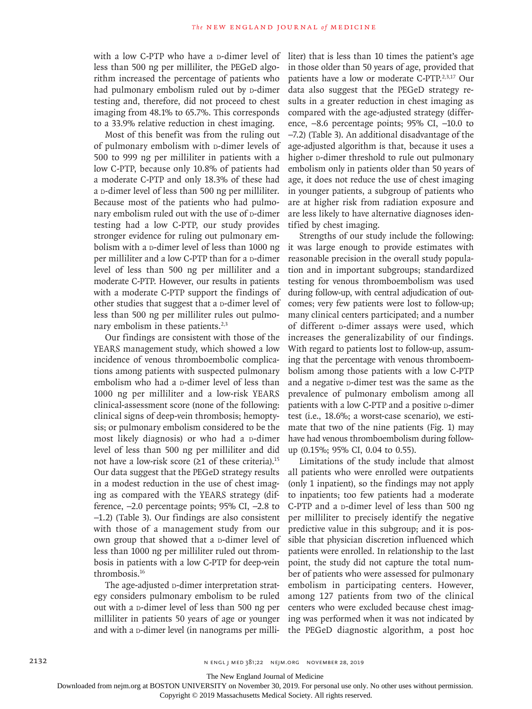with a low C-PTP who have a p-dimer level of less than 500 ng per milliliter, the PEGeD algorithm increased the percentage of patients who had pulmonary embolism ruled out by p-dimer testing and, therefore, did not proceed to chest imaging from 48.1% to 65.7%. This corresponds to a 33.9% relative reduction in chest imaging.

Most of this benefit was from the ruling out of pulmonary embolism with p-dimer levels of 500 to 999 ng per milliliter in patients with a low C-PTP, because only 10.8% of patients had a moderate C-PTP and only 18.3% of these had a p-dimer level of less than 500 ng per milliliter. Because most of the patients who had pulmonary embolism ruled out with the use of p-dimer testing had a low C-PTP, our study provides stronger evidence for ruling out pulmonary embolism with a  $p$ -dimer level of less than 1000 ng per milliliter and a low C-PTP than for a p-dimer level of less than 500 ng per milliliter and a moderate C-PTP. However, our results in patients with a moderate C-PTP support the findings of other studies that suggest that a p-dimer level of less than 500 ng per milliliter rules out pulmonary embolism in these patients. $2,3$ 

Our findings are consistent with those of the YEARS management study, which showed a low incidence of venous thromboembolic complications among patients with suspected pulmonary embolism who had a p-dimer level of less than 1000 ng per milliliter and a low-risk YEARS clinical-assessment score (none of the following: clinical signs of deep-vein thrombosis; hemoptysis; or pulmonary embolism considered to be the most likely diagnosis) or who had a p-dimer level of less than 500 ng per milliliter and did not have a low-risk score ( $\geq 1$  of these criteria).<sup>15</sup> Our data suggest that the PEGeD strategy results in a modest reduction in the use of chest imaging as compared with the YEARS strategy (difference, −2.0 percentage points; 95% CI, −2.8 to −1.2) (Table 3). Our findings are also consistent with those of a management study from our own group that showed that a p-dimer level of less than 1000 ng per milliliter ruled out thrombosis in patients with a low C-PTP for deep-vein thrombosis.16

The age-adjusted **D-dimer** interpretation strategy considers pulmonary embolism to be ruled out with a p-dimer level of less than 500 ng per milliliter in patients 50 years of age or younger and with a p-dimer level (in nanograms per milliliter) that is less than 10 times the patient's age in those older than 50 years of age, provided that patients have a low or moderate C-PTP.2,3,17 Our data also suggest that the PEGeD strategy results in a greater reduction in chest imaging as compared with the age-adjusted strategy (difference, −8.6 percentage points; 95% CI, −10.0 to −7.2) (Table 3). An additional disadvantage of the age-adjusted algorithm is that, because it uses a higher **D-dimer** threshold to rule out pulmonary embolism only in patients older than 50 years of age, it does not reduce the use of chest imaging in younger patients, a subgroup of patients who are at higher risk from radiation exposure and are less likely to have alternative diagnoses identified by chest imaging.

Strengths of our study include the following: it was large enough to provide estimates with reasonable precision in the overall study population and in important subgroups; standardized testing for venous thromboembolism was used during follow-up, with central adjudication of outcomes; very few patients were lost to follow-up; many clinical centers participated; and a number of different p-dimer assays were used, which increases the generalizability of our findings. With regard to patients lost to follow-up, assuming that the percentage with venous thromboembolism among those patients with a low C-PTP and a negative p-dimer test was the same as the prevalence of pulmonary embolism among all patients with a low C-PTP and a positive p-dimer test (i.e., 18.6%; a worst-case scenario), we estimate that two of the nine patients (Fig. 1) may have had venous thromboembolism during followup (0.15%; 95% CI, 0.04 to 0.55).

Limitations of the study include that almost all patients who were enrolled were outpatients (only 1 inpatient), so the findings may not apply to inpatients; too few patients had a moderate C-PTP and a  $p$ -dimer level of less than 500 ng per milliliter to precisely identify the negative predictive value in this subgroup; and it is possible that physician discretion influenced which patients were enrolled. In relationship to the last point, the study did not capture the total number of patients who were assessed for pulmonary embolism in participating centers. However, among 127 patients from two of the clinical centers who were excluded because chest imaging was performed when it was not indicated by the PEGeD diagnostic algorithm, a post hoc

The New England Journal of Medicine

Downloaded from nejm.org at BOSTON UNIVERSITY on November 30, 2019. For personal use only. No other uses without permission.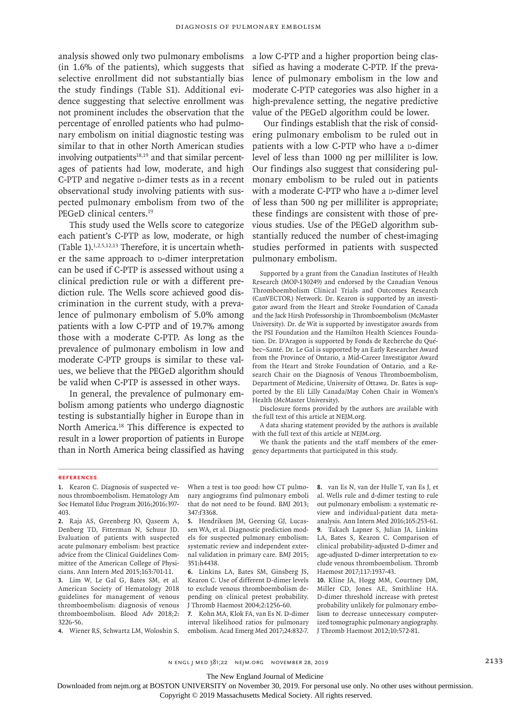analysis showed only two pulmonary embolisms (in 1.6% of the patients), which suggests that selective enrollment did not substantially bias the study findings (Table S1). Additional evidence suggesting that selective enrollment was not prominent includes the observation that the percentage of enrolled patients who had pulmonary embolism on initial diagnostic testing was similar to that in other North American studies involving outpatients $18,19$  and that similar percentages of patients had low, moderate, and high C-PTP and negative **D-dimer** tests as in a recent observational study involving patients with suspected pulmonary embolism from two of the PEGeD clinical centers.<sup>19</sup>

This study used the Wells score to categorize each patient's C-PTP as low, moderate, or high (Table 1).<sup>1,2,5,12,13</sup> Therefore, it is uncertain whether the same approach to p-dimer interpretation can be used if C-PTP is assessed without using a clinical prediction rule or with a different prediction rule. The Wells score achieved good discrimination in the current study, with a prevalence of pulmonary embolism of 5.0% among patients with a low C-PTP and of 19.7% among those with a moderate C-PTP. As long as the prevalence of pulmonary embolism in low and moderate C-PTP groups is similar to these values, we believe that the PEGeD algorithm should be valid when C-PTP is assessed in other ways.

In general, the prevalence of pulmonary embolism among patients who undergo diagnostic testing is substantially higher in Europe than in North America.<sup>18</sup> This difference is expected to result in a lower proportion of patients in Europe than in North America being classified as having a low C-PTP and a higher proportion being classified as having a moderate C-PTP. If the prevalence of pulmonary embolism in the low and moderate C-PTP categories was also higher in a high-prevalence setting, the negative predictive value of the PEGeD algorithm could be lower.

Our findings establish that the risk of considering pulmonary embolism to be ruled out in patients with a low C-PTP who have a p-dimer level of less than 1000 ng per milliliter is low. Our findings also suggest that considering pulmonary embolism to be ruled out in patients with a moderate C-PTP who have a p-dimer level of less than 500 ng per milliliter is appropriate; these findings are consistent with those of previous studies. Use of the PEGeD algorithm substantially reduced the number of chest-imaging studies performed in patients with suspected pulmonary embolism.

Supported by a grant from the Canadian Institutes of Health Research (MOP-130249) and endorsed by the Canadian Venous Thromboembolism Clinical Trials and Outcomes Research (CanVECTOR) Network. Dr. Kearon is supported by an investigator award from the Heart and Stroke Foundation of Canada and the Jack Hirsh Professorship in Thromboembolism (McMaster University). Dr. de Wit is supported by investigator awards from the PSI Foundation and the Hamilton Health Sciences Foundation. Dr. D'Aragon is supported by Fonds de Recherche du Québec–Santé. Dr. Le Gal is supported by an Early Researcher Award from the Province of Ontario, a Mid-Career Investigator Award from the Heart and Stroke Foundation of Ontario, and a Research Chair on the Diagnosis of Venous Thromboembolism, Department of Medicine, University of Ottawa. Dr. Bates is supported by the Eli Lilly Canada/May Cohen Chair in Women's Health (McMaster University).

Disclosure forms provided by the authors are available with the full text of this article at NEJM.org.

A data sharing statement provided by the authors is available with the full text of this article at NEJM.org.

We thank the patients and the staff members of the emergency departments that participated in this study.

#### **References**

**1.** Kearon C. Diagnosis of suspected venous thromboembolism. Hematology Am Soc Hematol Educ Program 2016;2016:397- 403.

**2.** Raja AS, Greenberg JO, Qaseem A, Denberg TD, Fitterman N, Schuur JD. Evaluation of patients with suspected acute pulmonary embolism: best practice advice from the Clinical Guidelines Committee of the American College of Physicians. Ann Intern Med 2015;163:701-11.

**3.** Lim W, Le Gal G, Bates SM, et al. American Society of Hematology 2018 guidelines for management of venous thromboembolism: diagnosis of venous thromboembolism. Blood Adv 2018;2: 3226-56.

**4.** Wiener RS, Schwartz LM, Woloshin S.

When a test is too good: how CT pulmonary angiograms find pulmonary emboli that do not need to be found. BMJ 2013; 347:f3368.

**5.** Hendriksen JM, Geersing GJ, Lucassen WA, et al. Diagnostic prediction models for suspected pulmonary embolism: systematic review and independent external validation in primary care. BMJ 2015; 351:h4438.

**6.** Linkins LA, Bates SM, Ginsberg JS, Kearon C. Use of different D-dimer levels to exclude venous thromboembolism depending on clinical pretest probability. J Thromb Haemost 2004;2:1256-60.

**7.** Kohn MA, Klok FA, van Es N. D-dimer interval likelihood ratios for pulmonary embolism. Acad Emerg Med 2017;24:832-7.

**8.** van Es N, van der Hulle T, van Es J, et al. Wells rule and d-dimer testing to rule out pulmonary embolism: a systematic review and individual-patient data metaanalysis. Ann Intern Med 2016;165:253-61.

**9.** Takach Lapner S, Julian JA, Linkins LA, Bates S, Kearon C. Comparison of clinical probability-adjusted D-dimer and age-adjusted D-dimer interpretation to exclude venous thromboembolism. Thromb Haemost 2017;117:1937-43.

**10.** Kline JA, Hogg MM, Courtney DM, Miller CD, Jones AE, Smithline HA. D-dimer threshold increase with pretest probability unlikely for pulmonary embolism to decrease unnecessary computerized tomographic pulmonary angiography. J Thromb Haemost 2012;10:572-81.

n engl j med 381;22 nejm.org November 28, 2019 2133

The New England Journal of Medicine

Downloaded from nejm.org at BOSTON UNIVERSITY on November 30, 2019. For personal use only. No other uses without permission.